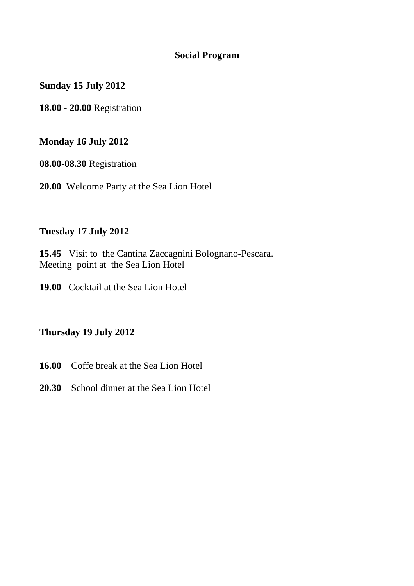#### **Social Program**

**Sunday 15 July 2012** 

**18.00 - 20.00** Registration

## **Monday 16 July 2012**

**08.00-08.30** Registration

**20.00** Welcome Party at the Sea Lion Hotel

### **Tuesday 17 July 2012**

**15.45** Visit to the Cantina Zaccagnini Bolognano-Pescara. Meeting point at the Sea Lion Hotel

**19.00** Cocktail at the Sea Lion Hotel

## **Thursday 19 July 2012**

- **16.00** Coffe break at the Sea Lion Hotel
- **20.30** School dinner at the Sea Lion Hotel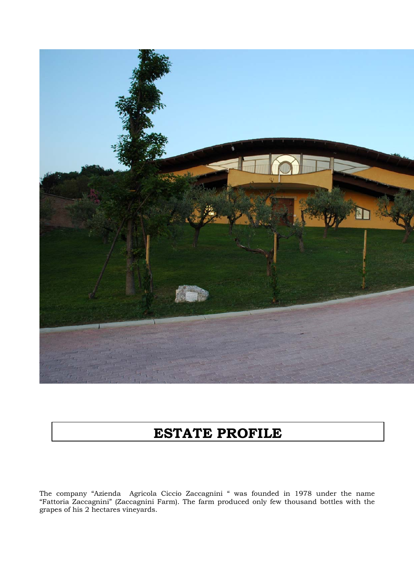

# **ESTATE PROFILE**

The company "Azienda Agricola Ciccio Zaccagnini " was founded in 1978 under the name "Fattoria Zaccagnini" (Zaccagnini Farm). The farm produced only few thousand bottles with the grapes of his 2 hectares vineyards.